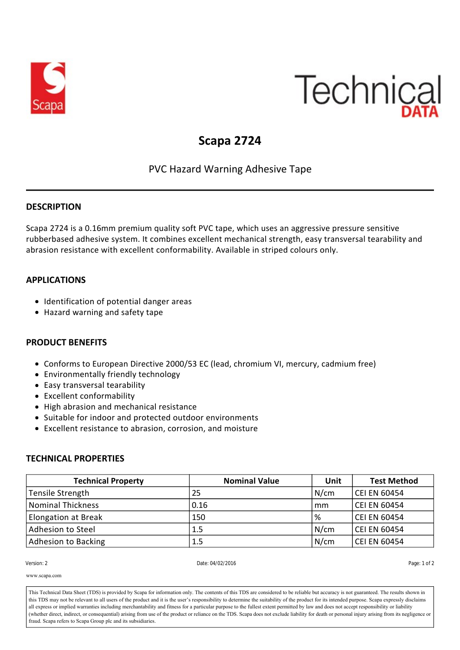

# Technical

## **Scapa 2724**

### PVC Hazard Warning Adhesive Tape

#### **DESCRIPTION**

Scapa 2724 is a 0.16mm premium quality soft PVC tape, which uses an aggressive pressure sensitive rubberbased adhesive system. It combines excellent mechanical strength, easy transversal tearability and abrasion resistance with excellent conformability. Available in striped colours only.

#### **APPLICATIONS**

- Identification of potential danger areas
- Hazard warning and safety tape

#### **PRODUCT BENEFITS**

- Conforms to European Directive 2000/53 EC (lead, chromium VI, mercury, cadmium free)
- Environmentally friendly technology
- Easy transversal tearability
- Excellent conformability
- High abrasion and mechanical resistance
- Suitable for indoor and protected outdoor environments
- Excellent resistance to abrasion, corrosion, and moisture

#### **TECHNICAL PROPERTIES**

| <b>Technical Property</b>  | <b>Nominal Value</b> | Unit | <b>Test Method</b>  |
|----------------------------|----------------------|------|---------------------|
| Tensile Strength           | 25                   | N/cm | <b>CEI EN 60454</b> |
| Nominal Thickness          | 0.16                 | mm   | <b>CEI EN 60454</b> |
| <b>Elongation at Break</b> | 150                  | %    | <b>CEI EN 60454</b> |
| Adhesion to Steel          | 1.5                  | N/cm | <b>CEI EN 60454</b> |
| Adhesion to Backing        | 1.5                  | N/cm | <b>CEI EN 60454</b> |

**Version: 2** 

Version: 2 Date: 04/02/2016 Page: 1 of 2

www.scapa.com

This Technical Data Sheet (TDS) is provided by Scapa for information only. The contents of this TDS are considered to be reliable but accuracy is not guaranteed. The results shown in This Technical Data Sheet (TDS) is provided by Scapa for information only. The contents of this TDS are considered to be reliable but accuracy is not guaranteed. The results shown in<br>this TDS may not be relevant to all use all express or implied warranties including merchantability and fitness for a particular purpose to the fullest extent permitted by law and does not accept responsibility or liability (whether direct, indirect, or consequential) arising from use of the product or reliance on the TDS. Scapa does not exclude liability for death or personal injury arising from its negligence or<br>fraud Scapa refers to Scapa Colours: (Striped) Yellow/black, White/red fraud. Scapa refers to Scapa Group plc and its subsidiaries.